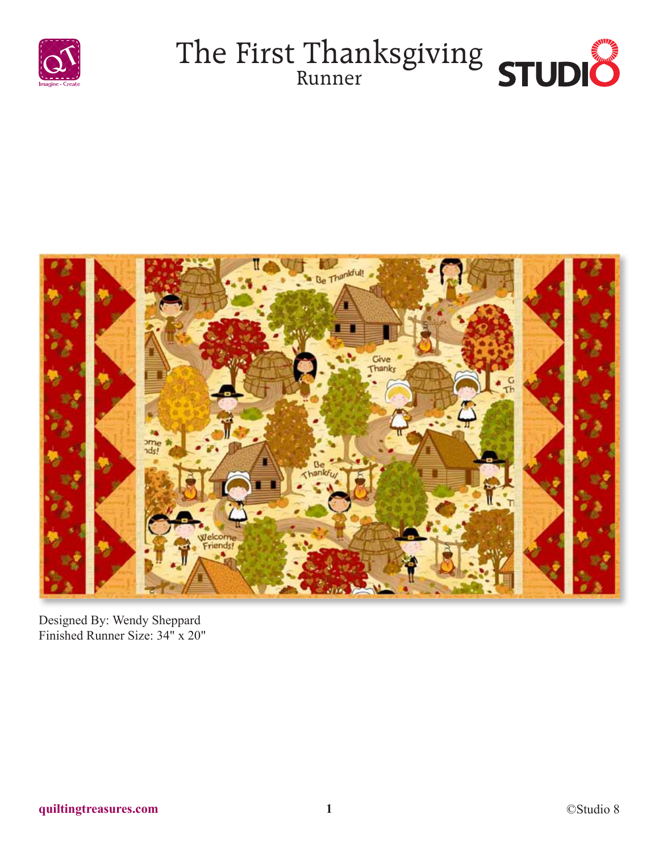





Designed By: Wendy Sheppard Finished Runner Size: 34" x 20"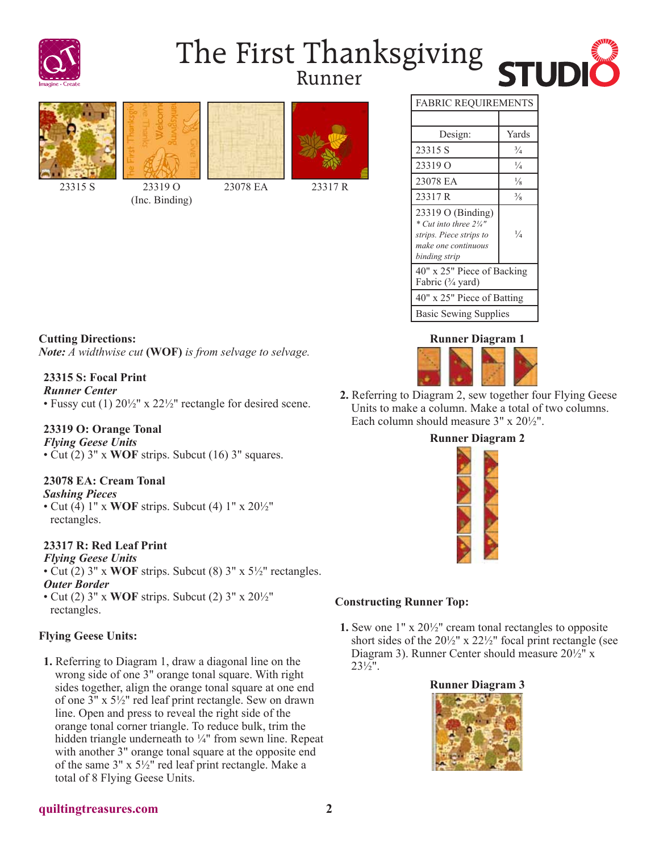

# The First Thanksgiving Runner







23315 S 23319 O

(Inc. Binding)





23078 EA 23317 R





**2.** Referring to Diagram 2, sew together four Flying Geese Units to make a column. Make a total of two columns. Each column should measure 3" x 20½".

# **Runner Diagram 2**



#### **Constructing Runner Top:**

**1.** Sew one 1" x 20½" cream tonal rectangles to opposite short sides of the 20½" x 22½" focal print rectangle (see Diagram 3). Runner Center should measure 20½" x 23½".



## **Cutting Directions:** *Note: A widthwise cut* **(WOF)** *is from selvage to selvage.*

### **23315 S: Focal Print**

*Runner Center*

• Fussy cut (1)  $20\frac{1}{2}$ " x  $22\frac{1}{2}$ " rectangle for desired scene.

#### **23319 O: Orange Tonal**

*Flying Geese Units* • Cut (2) 3" x **WOF** strips. Subcut (16) 3" squares.

### **23078 EA: Cream Tonal**

*Sashing Pieces*

• Cut (4) 1" x **WOF** strips. Subcut (4) 1" x 20½" rectangles.

### **23317 R: Red Leaf Print**

*Flying Geese Units*

- Cut (2) 3" x **WOF** strips. Subcut (8) 3" x 5½" rectangles. *Outer Border*
- Cut (2) 3" x **WOF** strips. Subcut (2) 3" x 20½" rectangles.

### **Flying Geese Units:**

**1.** Referring to Diagram 1, draw a diagonal line on the wrong side of one 3" orange tonal square. With right sides together, align the orange tonal square at one end of one 3" x 5½" red leaf print rectangle. Sew on drawn line. Open and press to reveal the right side of the orange tonal corner triangle. To reduce bulk, trim the hidden triangle underneath to ¼" from sewn line. Repeat with another 3" orange tonal square at the opposite end of the same 3" x 5½" red leaf print rectangle. Make a total of 8 Flying Geese Units.

#### **quiltingtreasures.com 2**